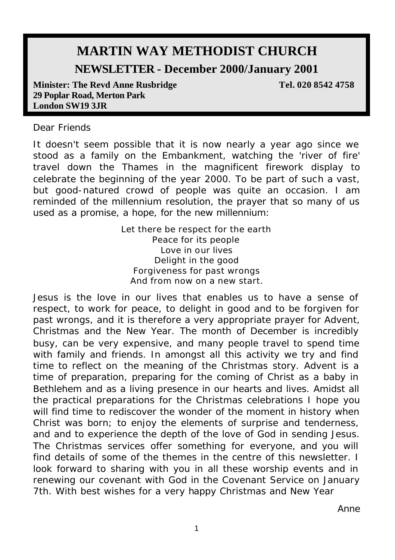# **MARTIN WAY METHODIST CHURCH**

# **NEWSLETTER - December 2000/January 2001**

**Minister: The Revd Anne Rusbridge**  Tel. 020 8542 4758 **29 Poplar Road, Merton Park London SW19 3JR**

#### Dear Friends

It doesn't seem possible that it is now nearly a year ago since we stood as a family on the Embankment, watching the 'river of fire' travel down the Thames in the magnificent firework display to celebrate the beginning of the year 2000. To be part of such a vast, but good-natured crowd of people was quite an occasion. I am reminded of the millennium resolution, the prayer that so many of us used as a promise, a hope, for the new millennium:

> Let there be respect for the earth Peace for its people Love in our lives Delight in the good Forgiveness for past wrongs And from now on a new start.

Jesus is the love in our lives that enables us to have a sense of respect, to work for peace, to delight in good and to be forgiven for past wrongs, and it is therefore a very appropriate prayer for Advent, Christmas and the New Year. The month of December is incredibly busy, can be very expensive, and many people travel to spend time with family and friends. In amongst all this activity we try and find time to reflect on the meaning of the Christmas story. Advent is a time of preparation, preparing for the coming of Christ as a baby in Bethlehem and as a living presence in our hearts and lives. Amidst all the practical preparations for the Christmas celebrations I hope you will find time to rediscover the wonder of the moment in history when Christ was born; to enjoy the elements of surprise and tenderness, and and to experience the depth of the love of God in sending Jesus. The Christmas services offer something for everyone, and you will find details of some of the themes in the centre of this newsletter. I look forward to sharing with you in all these worship events and in renewing our covenant with God in the Covenant Service on January 7th. With best wishes for a very happy Christmas and New Year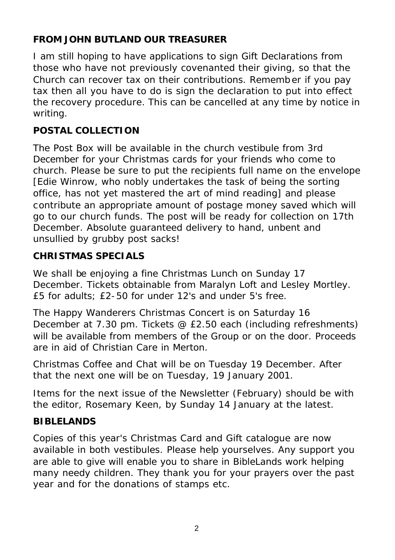# **FROM JOHN BUTLAND OUR TREASURER**

I am still hoping to have applications to sign Gift Declarations from those who have not previously covenanted their giving, so that the Church can recover tax on their contributions. Remember if you pay tax then all you have to do is sign the declaration to put into effect the recovery procedure. This can be cancelled at any time by notice in writing.

# **POSTAL COLLECTION**

The Post Box will be available in the church vestibule from 3rd December for your Christmas cards for your friends who come to church. Please be sure to put the recipients full name on the envelope [Edie Winrow, who nobly undertakes the task of being the sorting office, has not yet mastered the art of mind reading] and please contribute an appropriate amount of postage money saved which will go to our church funds. The post will be ready for collection on 17th December. Absolute guaranteed delivery to hand, unbent and unsullied by grubby post sacks!

# **CHRISTMAS SPECIALS**

We shall be enjoying a fine Christmas Lunch on Sunday 17 December. Tickets obtainable from Maralyn Loft and Lesley Mortley. £5 for adults; £2-50 for under 12's and under 5's free.

The Happy Wanderers Christmas Concert is on Saturday 16 December at 7.30 pm. Tickets @ £2.50 each (including refreshments) will be available from members of the Group or on the door. Proceeds are in aid of Christian Care in Merton.

Christmas Coffee and Chat will be on Tuesday 19 December. After that the next one will be on Tuesday, 19 January 2001.

Items for the next issue of the Newsletter (February) should be with the editor, Rosemary Keen, by Sunday 14 January at the latest.

# **BIBLELANDS**

Copies of this year's Christmas Card and Gift catalogue are now available in both vestibules. Please help yourselves. Any support you are able to give will enable you to share in BibleLands work helping many needy children. They thank you for your prayers over the past year and for the donations of stamps etc.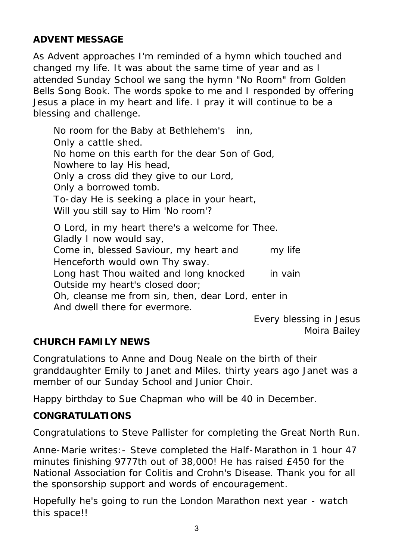## **ADVENT MESSAGE**

As Advent approaches I'm reminded of a hymn which touched and changed my life. It was about the same time of year and as I attended Sunday School we sang the hymn "No Room" from Golden Bells Song Book. The words spoke to me and I responded by offering Jesus a place in my heart and life. I pray it will continue to be a blessing and challenge.

No room for the Baby at Bethlehem's inn, Only a cattle shed. No home on this earth for the dear Son of God, Nowhere to lay His head, Only a cross did they give to our Lord, Only a borrowed tomb. To-day He is seeking a place in your heart, Will you still say to Him 'No room'? O Lord, in my heart there's a welcome for Thee. Gladly I now would say, Come in, blessed Saviour, my heart and my life Henceforth would own Thy sway. Long hast Thou waited and long knocked in vain Outside my heart's closed door; Oh, cleanse me from sin, then, dear Lord, enter in And dwell there for evermore.

Every blessing in Jesus *Moira Bailey*

## **CHURCH FAMILY NEWS**

Congratulations to Anne and Doug Neale on the birth of their granddaughter Emily to Janet and Miles. thirty years ago Janet was a member of our Sunday School and Junior Choir.

Happy birthday to Sue Chapman who will be 40 in December.

#### **CONGRATULATIONS**

Congratulations to Steve Pallister for completing the Great North Run.

Anne-Marie writes:- Steve completed the Half-Marathon in 1 hour 47 minutes finishing 9777th out of 38,000! He has raised £450 for the National Association for Colitis and Crohn's Disease. Thank you for all the sponsorship support and words of encouragement.

Hopefully he's going to run the London Marathon next year - watch this space!!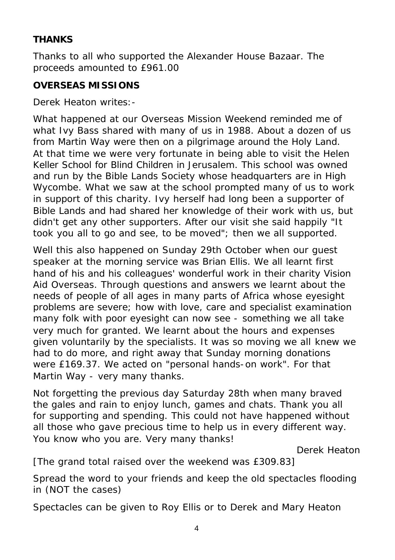## **THANKS**

Thanks to all who supported the Alexander House Bazaar. The proceeds amounted to £961.00

## **OVERSEAS MISSIONS**

Derek Heaton writes:-

What happened at our Overseas Mission Weekend reminded me of what Ivy Bass shared with many of us in 1988. About a dozen of us from Martin Way were then on a pilgrimage around the Holy Land. At that time we were very fortunate in being able to visit the Helen Keller School for Blind Children in Jerusalem. This school was owned and run by the Bible Lands Society whose headquarters are in High Wycombe. What we saw at the school prompted many of us to work in support of this charity. Ivy herself had long been a supporter of Bible Lands and had shared her knowledge of their work with us, but didn't get any other supporters. After our visit she said happily "It took you all to go and see, to be moved"; then we all supported.

Well this also happened on Sunday 29th October when our guest speaker at the morning service was Brian Ellis. We all learnt first hand of his and his colleagues' wonderful work in their charity Vision Aid Overseas. Through questions and answers we learnt about the needs of people of all ages in many parts of Africa whose eyesight problems are severe; how with love, care and specialist examination many folk with poor eyesight can now see - something we all take very much for granted. We learnt about the hours and expenses given voluntarily by the specialists. It was so moving we all knew we had to do more, and right away that Sunday morning donations were £169.37. We acted on "personal hands-on work". For that Martin Way - very many thanks.

Not forgetting the previous day Saturday 28th when many braved the gales and rain to enjoy lunch, games and chats. Thank you all for supporting and spending. This could not have happened without all those who gave precious time to help us in every different way. You know who you are. Very many thanks!

*Derek Heaton*

[The grand total raised over the weekend was £309.83]

Spread the word to your friends and keep the old spectacles flooding in (NOT the cases)

Spectacles can be given to Roy Ellis or to Derek and Mary Heaton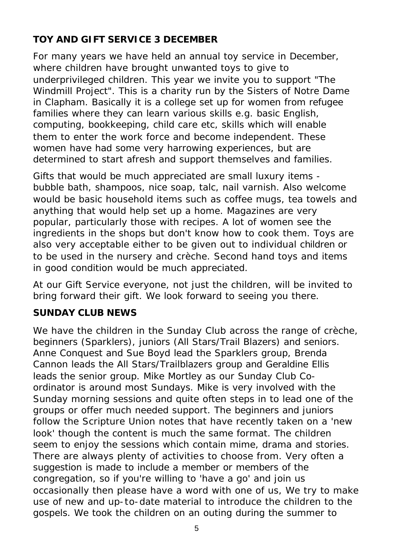# **TOY AND GIFT SERVICE 3 DECEMBER**

For many years we have held an annual toy service in December, where children have brought unwanted toys to give to underprivileged children. This year we invite you to support "The Windmill Project". This is a charity run by the Sisters of Notre Dame in Clapham. Basically it is a college set up for women from refugee families where they can learn various skills e.g. basic English, computing, bookkeeping, child care etc, skills which will enable them to enter the work force and become independent. These women have had some very harrowing experiences, but are determined to start afresh and support themselves and families.

Gifts that would be much appreciated are small luxury items bubble bath, shampoos, nice soap, talc, nail varnish. Also welcome would be basic household items such as coffee mugs, tea towels and anything that would help set up a home. Magazines are very popular, particularly those with recipes. A lot of women see the ingredients in the shops but don't know how to cook them. Toys are also very acceptable either to be given out to individual children or to be used in the nursery and crèche. Second hand toys and items in good condition would be much appreciated.

At our Gift Service everyone, not just the children, will be invited to bring forward their gift. We look forward to seeing you there.

## **SUNDAY CLUB NEWS**

We have the children in the Sunday Club across the range of crèche, beginners (Sparklers), juniors (All Stars/Trail Blazers) and seniors. Anne Conquest and Sue Boyd lead the Sparklers group, Brenda Cannon leads the All Stars/Trailblazers group and Geraldine Ellis leads the senior group. Mike Mortley as our Sunday Club Coordinator is around most Sundays. Mike is very involved with the Sunday morning sessions and quite often steps in to lead one of the groups or offer much needed support. The beginners and juniors follow the Scripture Union notes that have recently taken on a 'new look' though the content is much the same format. The children seem to enjoy the sessions which contain mime, drama and stories. There are always plenty of activities to choose from. Very often a suggestion is made to include a member or members of the congregation, so if you're willing to 'have a go' and join us occasionally then please have a word with one of us, We try to make use of new and up-to-date material to introduce the children to the gospels. We took the children on an outing during the summer to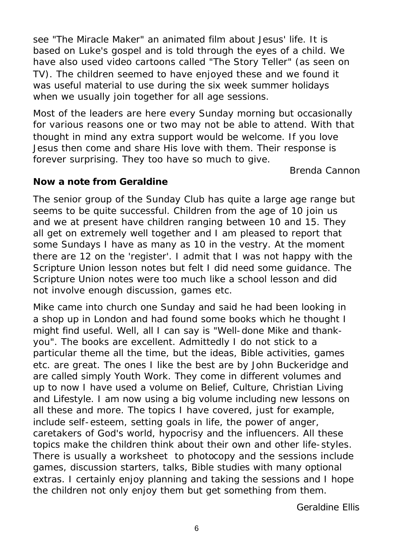see "The Miracle Maker" an animated film about Jesus' life. It is based on Luke's gospel and is told through the eyes of a child. We have also used video cartoons called "The Story Teller" (as seen on TV). The children seemed to have enjoyed these and we found it was useful material to use during the six week summer holidays when we usually join together for all age sessions.

Most of the leaders are here every Sunday morning but occasionally for various reasons one or two may not be able to attend. With that thought in mind any extra support would be welcome. If you love Jesus then come and share His love with them. Their response is forever surprising. They too have so much to give.

*Brenda Cannon*

#### **Now a note from Geraldine**

The senior group of the Sunday Club has quite a large age range but seems to be quite successful. Children from the age of 10 join us and we at present have children ranging between 10 and 15. They all get on extremely well together and I am pleased to report that some Sundays I have as many as 10 in the vestry. At the moment there are 12 on the 'register'. I admit that I was not happy with the Scripture Union lesson notes but felt I did need some guidance. The Scripture Union notes were too much like a school lesson and did not involve enough discussion, games etc.

Mike came into church one Sunday and said he had been looking in a shop up in London and had found some books which he thought I might find useful. Well, all I can say is "Well-done Mike and thankyou". The books are excellent. Admittedly I do not stick to a particular theme all the time, but the ideas, Bible activities, games etc. are great. The ones I like the best are by John Buckeridge and are called simply Youth Work. They come in different volumes and up to now I have used a volume on Belief, Culture, Christian Living and Lifestyle. I am now using a big volume including new lessons on all these and more. The topics I have covered, just for example, include self-esteem, setting goals in life, the power of anger, caretakers of God's world, hypocrisy and the influencers. All these topics make the children think about their own and other life-styles. There is usually a worksheet to photocopy and the sessions include games, discussion starters, talks, Bible studies with many optional extras. I certainly enjoy planning and taking the sessions and I hope the children not only enjoy them but get something from them.

*Geraldine Ellis*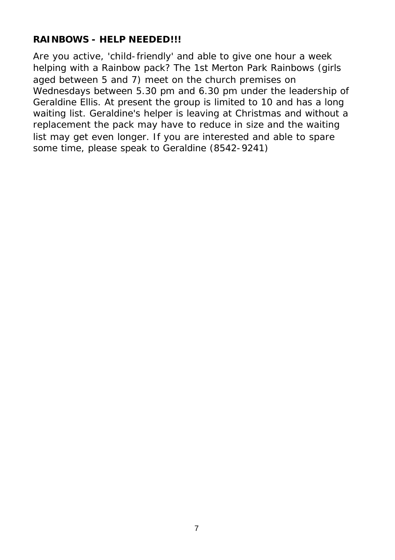## **RAINBOWS - HELP NEEDED!!!**

Are you active, 'child-friendly' and able to give one hour a week helping with a Rainbow pack? The 1st Merton Park Rainbows (girls aged between 5 and 7) meet on the church premises on Wednesdays between 5.30 pm and 6.30 pm under the leadership of Geraldine Ellis. At present the group is limited to 10 and has a long waiting list. Geraldine's helper is leaving at Christmas and without a replacement the pack may have to reduce in size and the waiting list may get even longer. If you are interested and able to spare some time, please speak to Geraldine (8542-9241)